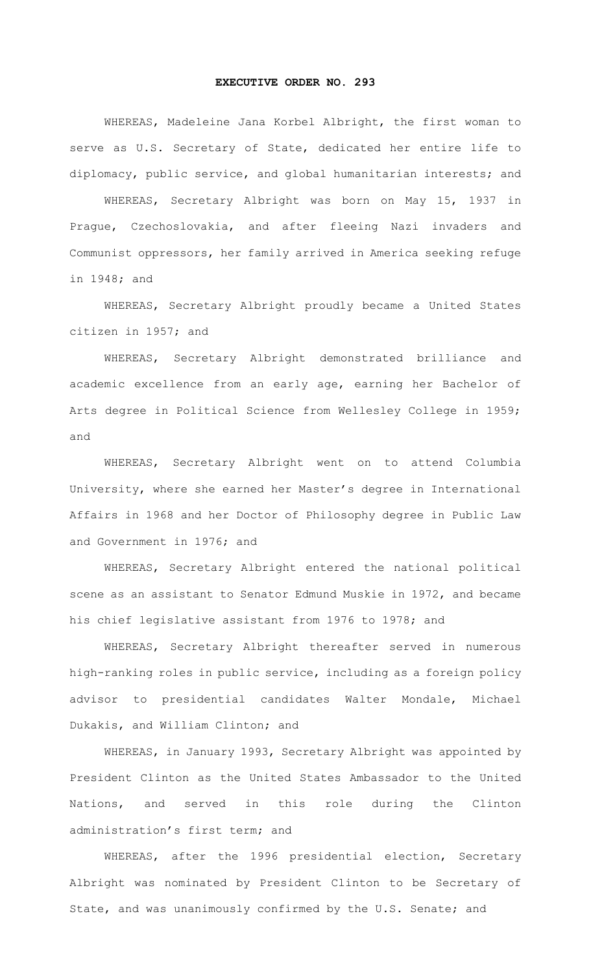## **EXECUTIVE ORDER NO. 293**

WHEREAS, Madeleine Jana Korbel Albright, the first woman to serve as U.S. Secretary of State, dedicated her entire life to diplomacy, public service, and global humanitarian interests; and

WHEREAS, Secretary Albright was born on May 15, 1937 in Prague, Czechoslovakia, and after fleeing Nazi invaders and Communist oppressors, her family arrived in America seeking refuge in 1948; and

WHEREAS, Secretary Albright proudly became a United States citizen in 1957; and

WHEREAS, Secretary Albright demonstrated brilliance and academic excellence from an early age, earning her Bachelor of Arts degree in Political Science from Wellesley College in 1959; and

WHEREAS, Secretary Albright went on to attend Columbia University, where she earned her Master's degree in International Affairs in 1968 and her Doctor of Philosophy degree in Public Law and Government in 1976; and

WHEREAS, Secretary Albright entered the national political scene as an assistant to Senator Edmund Muskie in 1972, and became his chief legislative assistant from 1976 to 1978; and

WHEREAS, Secretary Albright thereafter served in numerous high-ranking roles in public service, including as a foreign policy advisor to presidential candidates Walter Mondale, Michael Dukakis, and William Clinton; and

WHEREAS, in January 1993, Secretary Albright was appointed by President Clinton as the United States Ambassador to the United Nations, and served in this role during the Clinton administration's first term; and

WHEREAS, after the 1996 presidential election, Secretary Albright was nominated by President Clinton to be Secretary of State, and was unanimously confirmed by the U.S. Senate; and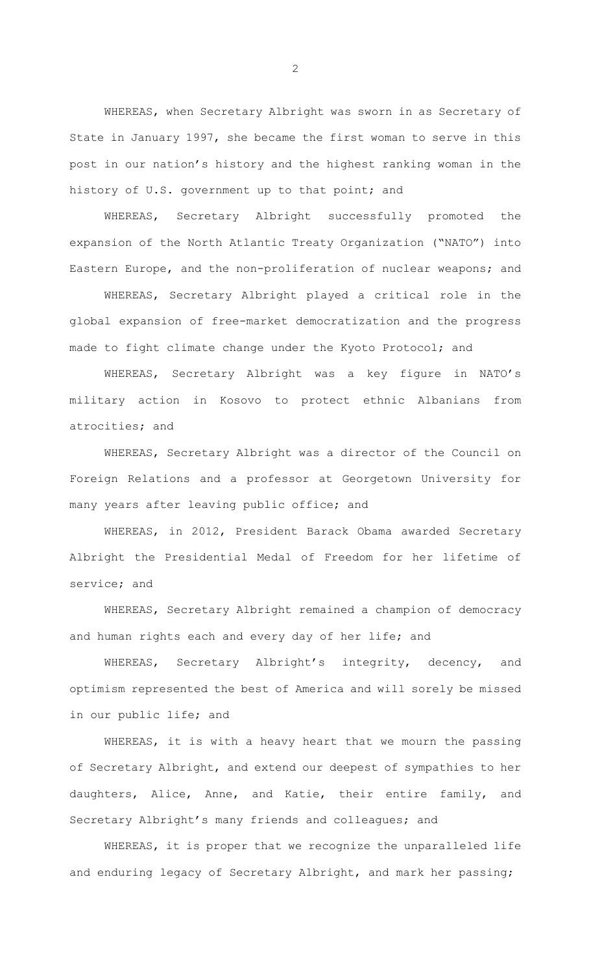WHEREAS, when Secretary Albright was sworn in as Secretary of State in January 1997, she became the first woman to serve in this post in our nation's history and the highest ranking woman in the history of U.S. government up to that point; and

WHEREAS, Secretary Albright successfully promoted the expansion of the North Atlantic Treaty Organization ("NATO") into Eastern Europe, and the non-proliferation of nuclear weapons; and

WHEREAS, Secretary Albright played a critical role in the global expansion of free-market democratization and the progress made to fight climate change under the Kyoto Protocol; and

WHEREAS, Secretary Albright was a key figure in NATO's military action in Kosovo to protect ethnic Albanians from atrocities; and

WHEREAS, Secretary Albright was a director of the Council on Foreign Relations and a professor at Georgetown University for many years after leaving public office; and

WHEREAS, in 2012, President Barack Obama awarded Secretary Albright the Presidential Medal of Freedom for her lifetime of service; and

WHEREAS, Secretary Albright remained a champion of democracy and human rights each and every day of her life; and

WHEREAS, Secretary Albright's integrity, decency, and optimism represented the best of America and will sorely be missed in our public life; and

WHEREAS, it is with a heavy heart that we mourn the passing of Secretary Albright, and extend our deepest of sympathies to her daughters, Alice, Anne, and Katie, their entire family, and Secretary Albright's many friends and colleagues; and

WHEREAS, it is proper that we recognize the unparalleled life and enduring legacy of Secretary Albright, and mark her passing;

2